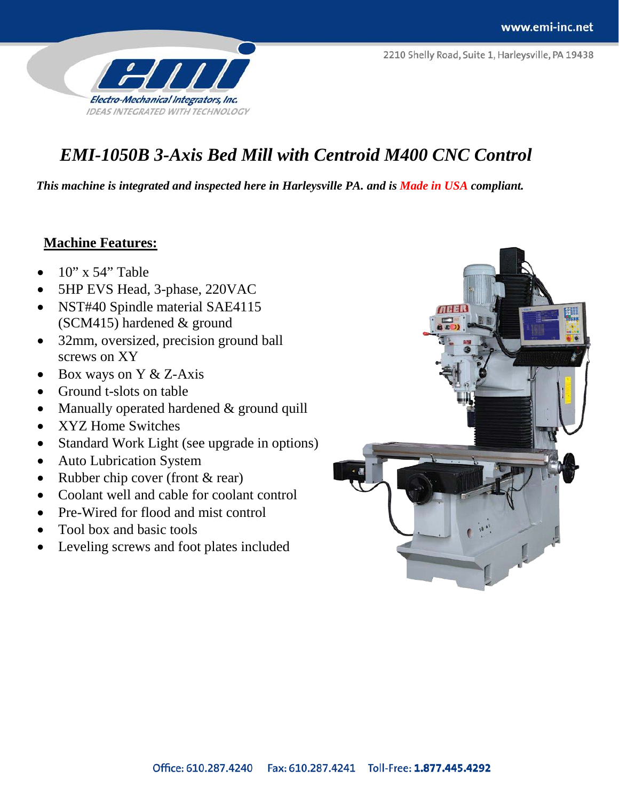2210 Shelly Road, Suite 1, Harleysville, PA 19438



# *EMI-1050B 3-Axis Bed Mill with Centroid M400 CNC Control*

*This machine is integrated and inspected here in Harleysville PA. and is Made in USA compliant.*

### **Machine Features:**

- 10" x 54" Table
- 5HP EVS Head, 3-phase, 220VAC
- NST#40 Spindle material SAE4115 (SCM415) hardened & ground
- 32mm, oversized, precision ground ball screws on XY
- Box ways on Y & Z-Axis
- Ground t-slots on table
- Manually operated hardened & ground quill
- XYZ Home Switches
- Standard Work Light (see upgrade in options)
- Auto Lubrication System
- Rubber chip cover (front & rear)
- Coolant well and cable for coolant control
- Pre-Wired for flood and mist control
- Tool box and basic tools
- Leveling screws and foot plates included

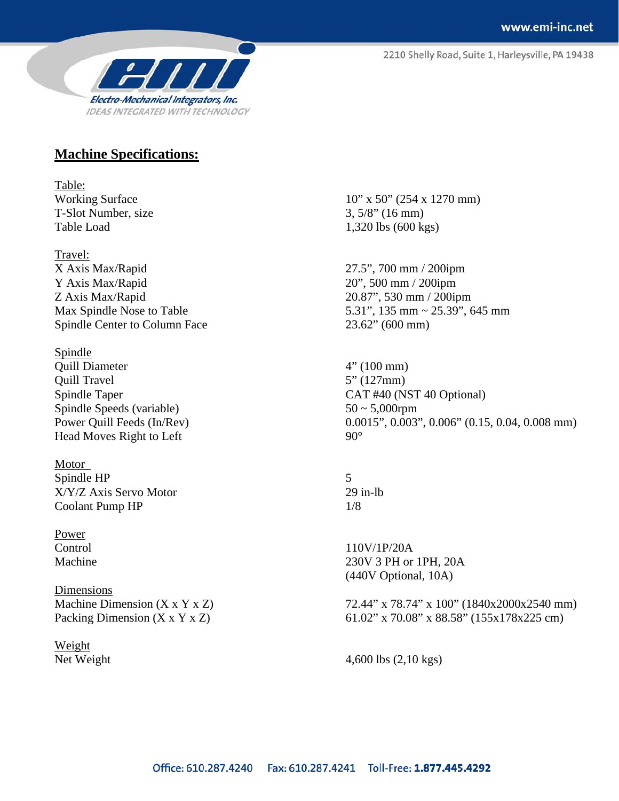2210 Shelly Road, Suite 1, Harleysville, PA 19438



#### **Machine Specifications:**

Table: T-Slot Number, size  $3, 5/8$ " (16 mm)

Travel: X Axis Max/Rapid 27.5", 700 mm / 200ipm Y Axis Max/Rapid 20", 500 mm / 200ipm Z Axis Max/Rapid 20.87", 530 mm / 200ipm Spindle Center to Column Face 23.62" (600 mm)

Spindle Quill Diameter 4" (100 mm) Quill Travel 5" (127mm) Spindle Speeds (variable)  $50 \sim 5,000$ rpm Head Moves Right to Left 90°

Motor Spindle HP 5 X/Y/Z Axis Servo Motor 29 in-lb Coolant Pump HP 1/8

Power

Dimensions

Weight

Working Surface 10" x 50" (254 x 1270 mm) Table Load 1,320 lbs (600 kgs)

Max Spindle Nose to Table 5.31", 135 mm ~ 25.39", 645 mm

Spindle Taper CAT #40 (NST 40 Optional) Power Quill Feeds (In/Rev) 0.0015", 0.003", 0.006" (0.15, 0.04, 0.008 mm)

Control 110V/1P/20A Machine 230V 3 PH or 1PH, 20A (440V Optional, 10A)

Machine Dimension (X x Y x Z) 72.44" x 78.74" x 100" (1840x2000x2540 mm) Packing Dimension (X x Y x Z) 61.02" x 70.08" x 88.58" (155x178x225 cm)

Net Weight 4,600 lbs (2,10 kgs)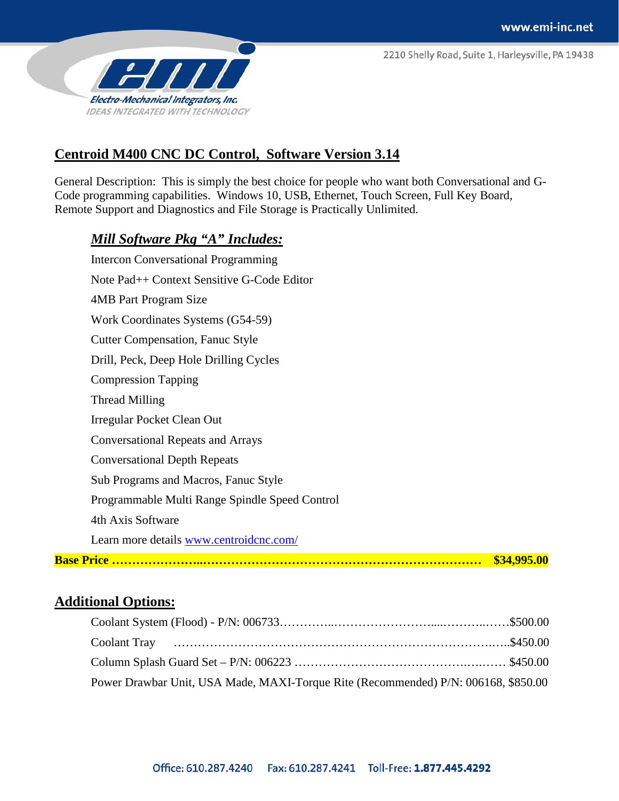2210 Shelly Road, Suite 1, Harleysville, PA 19438



## **Centroid M400 CNC DC Control, Software Version 3.14**

General Description: This is simply the best choice for people who want both Conversational and G-Code programming capabilities. Windows 10, USB, Ethernet, Touch Screen, Full Key Board, Remote Support and Diagnostics and File Storage is Practically Unlimited.

#### *Mill Software Pkg "A" Includes:*

|                                                | \$34,995.00 |
|------------------------------------------------|-------------|
| Learn more details www.centroidcnc.com/        |             |
| 4th Axis Software                              |             |
| Programmable Multi Range Spindle Speed Control |             |
| Sub Programs and Macros, Fanuc Style           |             |
| <b>Conversational Depth Repeats</b>            |             |
| <b>Conversational Repeats and Arrays</b>       |             |
| Irregular Pocket Clean Out                     |             |
| Thread Milling                                 |             |
| <b>Compression Tapping</b>                     |             |
| Drill, Peck, Deep Hole Drilling Cycles         |             |
| <b>Cutter Compensation, Fanuc Style</b>        |             |
| Work Coordinates Systems (G54-59)              |             |
| <b>4MB</b> Part Program Size                   |             |
| Note Pad++ Context Sensitive G-Code Editor     |             |
| <b>Intercon Conversational Programming</b>     |             |

## **Additional Options:**

| Power Drawbar Unit, USA Made, MAXI-Torque Rite (Recommended) P/N: 006168, \$850.00 |  |
|------------------------------------------------------------------------------------|--|